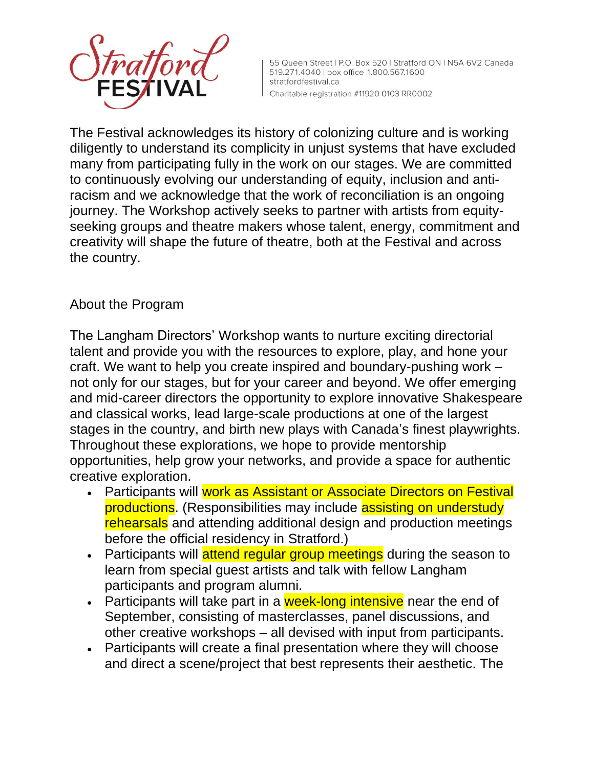

55 Queen Street | P.O. Box 520 | Stratford ON | N5A 6V2 Canada 519.271.4040 | box office 1.800.567.1600 stratfordfestival.ca Charitable registration #11920 0103 RR0002

The Festival acknowledges its history of colonizing culture and is working diligently to understand its complicity in unjust systems that have excluded many from participating fully in the work on our stages. We are committed to continuously evolving our understanding of equity, inclusion and antiracism and we acknowledge that the work of reconciliation is an ongoing journey. The Workshop actively seeks to partner with artists from equityseeking groups and theatre makers whose talent, energy, commitment and creativity will shape the future of theatre, both at the Festival and across the country.

## About the Program

The Langham Directors' Workshop wants to nurture exciting directorial talent and provide you with the resources to explore, play, and hone your craft. We want to help you create inspired and boundary-pushing work – not only for our stages, but for your career and beyond. We offer emerging and mid-career directors the opportunity to explore innovative Shakespeare and classical works, lead large-scale productions at one of the largest stages in the country, and birth new plays with Canada's finest playwrights. Throughout these explorations, we hope to provide mentorship opportunities, help grow your networks, and provide a space for authentic creative exploration.

- Participants will work as Assistant or Associate Directors on Festival productions. (Responsibilities may include assisting on understudy rehearsals and attending additional design and production meetings before the official residency in Stratford.)
- Participants will attend regular group meetings during the season to learn from special guest artists and talk with fellow Langham participants and program alumni.
- Participants will take part in a week-long intensive near the end of September, consisting of masterclasses, panel discussions, and other creative workshops – all devised with input from participants.
- Participants will create a final presentation where they will choose and direct a scene/project that best represents their aesthetic. The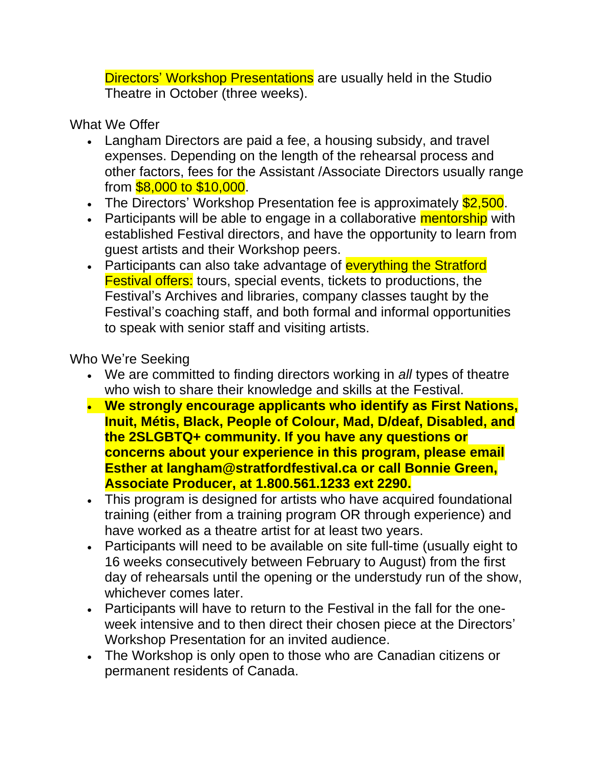Directors' Workshop Presentations are usually held in the Studio Theatre in October (three weeks).

What We Offer

- Langham Directors are paid a fee, a housing subsidy, and travel expenses. Depending on the length of the rehearsal process and other factors, fees for the Assistant /Associate Directors usually range from \$8,000 to \$10,000.
- The Directors' Workshop Presentation fee is approximately **\$2,500**.
- Participants will be able to engage in a collaborative **mentorship** with established Festival directors, and have the opportunity to learn from guest artists and their Workshop peers.
- Participants can also take advantage of everything the Stratford Festival offers: tours, special events, tickets to productions, the Festival's Archives and libraries, company classes taught by the Festival's coaching staff, and both formal and informal opportunities to speak with senior staff and visiting artists.

Who We're Seeking

- We are committed to finding directors working in *all* types of theatre who wish to share their knowledge and skills at the Festival.
- **We strongly encourage applicants who identify as First Nations, Inuit, Métis, Black, People of Colour, Mad, D/deaf, Disabled, and the 2SLGBTQ+ community. If you have any questions or concerns about your experience in this program, please email Esther at [langham@stratfordfestival.ca](mailto:langham@stratfordfestival.ca) or call Bonnie Green, Associate Producer, at 1.800.561.1233 ext 2290.**
- This program is designed for artists who have acquired foundational training (either from a training program OR through experience) and have worked as a theatre artist for at least two years.
- Participants will need to be available on site full-time (usually eight to 16 weeks consecutively between February to August) from the first day of rehearsals until the opening or the understudy run of the show, whichever comes later.
- Participants will have to return to the Festival in the fall for the oneweek intensive and to then direct their chosen piece at the Directors' Workshop Presentation for an invited audience.
- The Workshop is only open to those who are Canadian citizens or permanent residents of Canada.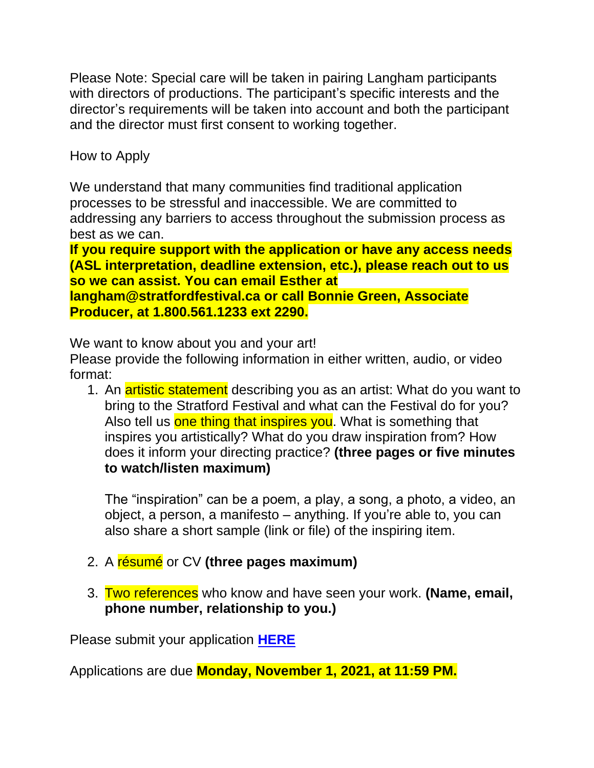Please Note: Special care will be taken in pairing Langham participants with directors of productions. The participant's specific interests and the director's requirements will be taken into account and both the participant and the director must first consent to working together.

How to Apply

We understand that many communities find traditional application processes to be stressful and inaccessible. We are committed to addressing any barriers to access throughout the submission process as best as we can.

**If you require support with the application or have any access needs (ASL interpretation, deadline extension, etc.), please reach out to us so we can assist. You can email Esther at [langham@stratfordfestival.ca](mailto:langham@stratfordfestival.ca) or call Bonnie Green, Associate Producer, at 1.800.561.1233 ext 2290.**

We want to know about you and your art!

Please provide the following information in either written, audio, or video format:

1. An artistic statement describing you as an artist: What do you want to bring to the Stratford Festival and what can the Festival do for you? Also tell us one thing that inspires you. What is something that inspires you artistically? What do you draw inspiration from? How does it inform your directing practice? **(three pages or five minutes to watch/listen maximum)**

The "inspiration" can be a poem, a play, a song, a photo, a video, an object, a person, a manifesto – anything. If you're able to, you can also share a short sample (link or file) of the inspiring item.

- 2. A résumé or CV **(three pages maximum)**
- 3. Two references who know and have seen your work. **(Name, email, phone number, relationship to you.)**

Please submit your application **[HERE](https://airtable.com/shrw84ffIBEZFI3II)**

Applications are due **Monday, November 1, 2021, at 11:59 PM.**